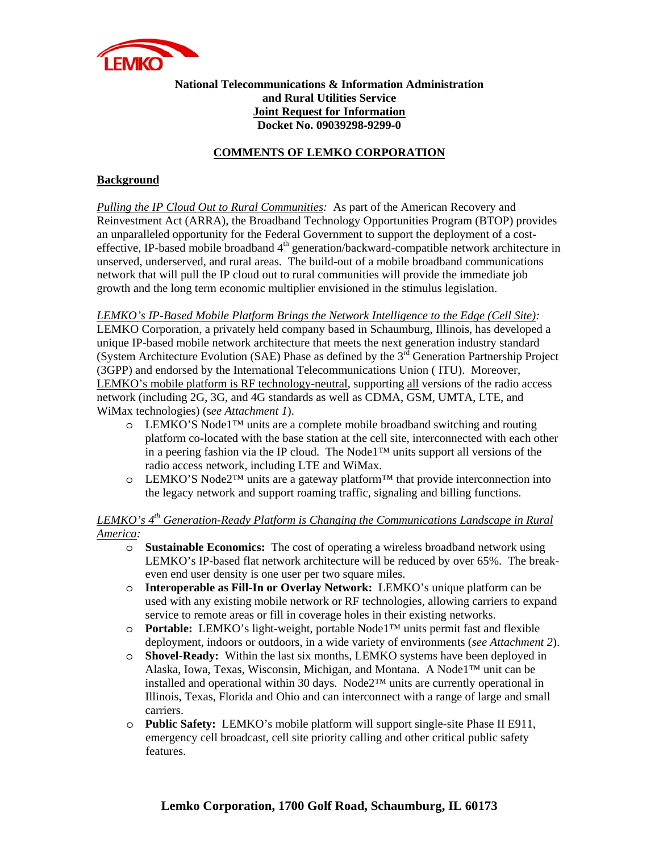

### **National Telecommunications & Information Administration and Rural Utilities Service Joint Request for Information Docket No. 09039298-9299-0**

### **COMMENTS OF LEMKO CORPORATION**

### **Background**

*Pulling the IP Cloud Out to Rural Communities:* As part of the American Recovery and Reinvestment Act (ARRA), the Broadband Technology Opportunities Program (BTOP) provides an unparalleled opportunity for the Federal Government to support the deployment of a costeffective, IP-based mobile broadband 4<sup>th</sup> generation/backward-compatible network architecture in unserved, underserved, and rural areas. The build-out of a mobile broadband communications network that will pull the IP cloud out to rural communities will provide the immediate job growth and the long term economic multiplier envisioned in the stimulus legislation.

### *LEMKO's IP-Based Mobile Platform Brings the Network Intelligence to the Edge (Cell Site):*

LEMKO Corporation, a privately held company based in Schaumburg, Illinois, has developed a unique IP-based mobile network architecture that meets the next generation industry standard (System Architecture Evolution (SAE) Phase as defined by the  $3<sup>rd</sup>$  Generation Partnership Project (3GPP) and endorsed by the International Telecommunications Union ( ITU). Moreover, LEMKO's mobile platform is RF technology-neutral, supporting all versions of the radio access network (including 2G, 3G, and 4G standards as well as CDMA, GSM, UMTA, LTE, and WiMax technologies) (s*ee Attachment 1*).

- o LEMKO'S Node1™ units are a complete mobile broadband switching and routing platform co-located with the base station at the cell site, interconnected with each other in a peering fashion via the IP cloud. The Node1™ units support all versions of the radio access network, including LTE and WiMax.
- o LEMKO'S Node2™ units are a gateway platform™ that provide interconnection into the legacy network and support roaming traffic, signaling and billing functions.

### *LEMKO's 4th Generation-Ready Platform is Changing the Communications Landscape in Rural America:*

- o **Sustainable Economics:** The cost of operating a wireless broadband network using LEMKO's IP-based flat network architecture will be reduced by over 65%. The breakeven end user density is one user per two square miles.
- o **Interoperable as Fill-In or Overlay Network:** LEMKO's unique platform can be used with any existing mobile network or RF technologies, allowing carriers to expand service to remote areas or fill in coverage holes in their existing networks.
- o **Portable:** LEMKO's light-weight, portable Node1™ units permit fast and flexible deployment, indoors or outdoors, in a wide variety of environments (*see Attachment 2*).
- o **Shovel-Ready:** Within the last six months, LEMKO systems have been deployed in Alaska, Iowa, Texas, Wisconsin, Michigan, and Montana. A Node1™ unit can be installed and operational within 30 days. Node2™ units are currently operational in Illinois, Texas, Florida and Ohio and can interconnect with a range of large and small carriers.
- o **Public Safety:** LEMKO's mobile platform will support single-site Phase II E911, emergency cell broadcast, cell site priority calling and other critical public safety features.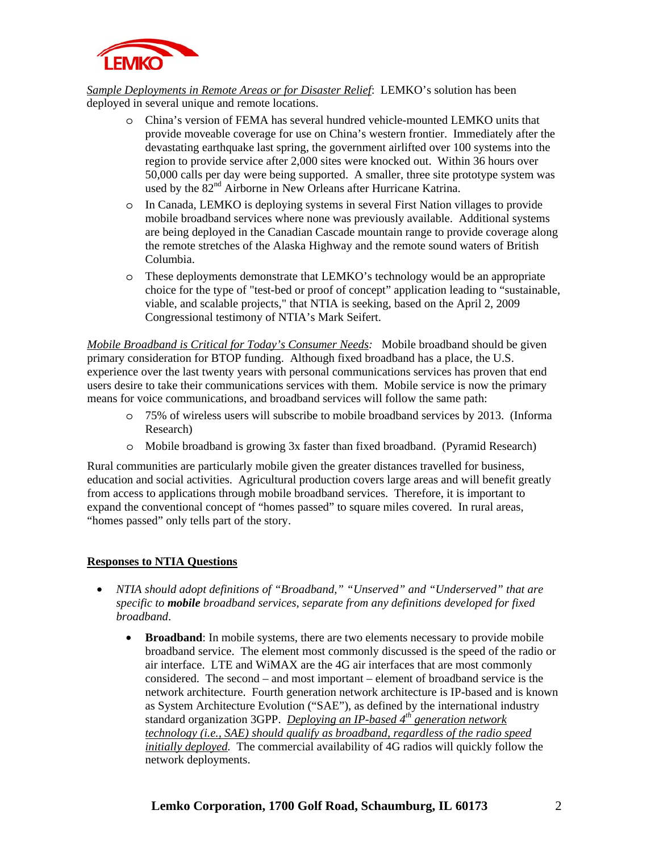

*Sample Deployments in Remote Areas or for Disaster Relief*:LEMKO's solution has been deployed in several unique and remote locations.

- o China's version of FEMA has several hundred vehicle-mounted LEMKO units that provide moveable coverage for use on China's western frontier. Immediately after the devastating earthquake last spring, the government airlifted over 100 systems into the region to provide service after 2,000 sites were knocked out. Within 36 hours over 50,000 calls per day were being supported. A smaller, three site prototype system was used by the  $82<sup>nd</sup>$  Airborne in New Orleans after Hurricane Katrina.
- o In Canada, LEMKO is deploying systems in several First Nation villages to provide mobile broadband services where none was previously available. Additional systems are being deployed in the Canadian Cascade mountain range to provide coverage along the remote stretches of the Alaska Highway and the remote sound waters of British Columbia.
- o These deployments demonstrate that LEMKO's technology would be an appropriate choice for the type of "test-bed or proof of concept" application leading to "sustainable, viable, and scalable projects," that NTIA is seeking, based on the April 2, 2009 Congressional testimony of NTIA's Mark Seifert.

*Mobile Broadband is Critical for Today's Consumer Needs:* Mobile broadband should be given primary consideration for BTOP funding. Although fixed broadband has a place, the U.S. experience over the last twenty years with personal communications services has proven that end users desire to take their communications services with them. Mobile service is now the primary means for voice communications, and broadband services will follow the same path:

- o 75% of wireless users will subscribe to mobile broadband services by 2013. (Informa Research)
- o Mobile broadband is growing 3x faster than fixed broadband. (Pyramid Research)

Rural communities are particularly mobile given the greater distances travelled for business, education and social activities. Agricultural production covers large areas and will benefit greatly from access to applications through mobile broadband services. Therefore, it is important to expand the conventional concept of "homes passed" to square miles covered. In rural areas, "homes passed" only tells part of the story.

### **Responses to NTIA Questions**

- *NTIA should adopt definitions of "Broadband," "Unserved" and "Underserved" that are specific to mobile broadband services, separate from any definitions developed for fixed broadband*.
	- **Broadband**: In mobile systems, there are two elements necessary to provide mobile broadband service. The element most commonly discussed is the speed of the radio or air interface. LTE and WiMAX are the 4G air interfaces that are most commonly considered. The second – and most important – element of broadband service is the network architecture. Fourth generation network architecture is IP-based and is known as System Architecture Evolution ("SAE"), as defined by the international industry standard organization 3GPP. *Deploying an IP-based 4th generation network technology (i.e., SAE) should qualify as broadband, regardless of the radio speed initially deployed.* The commercial availability of 4G radios will quickly follow the network deployments.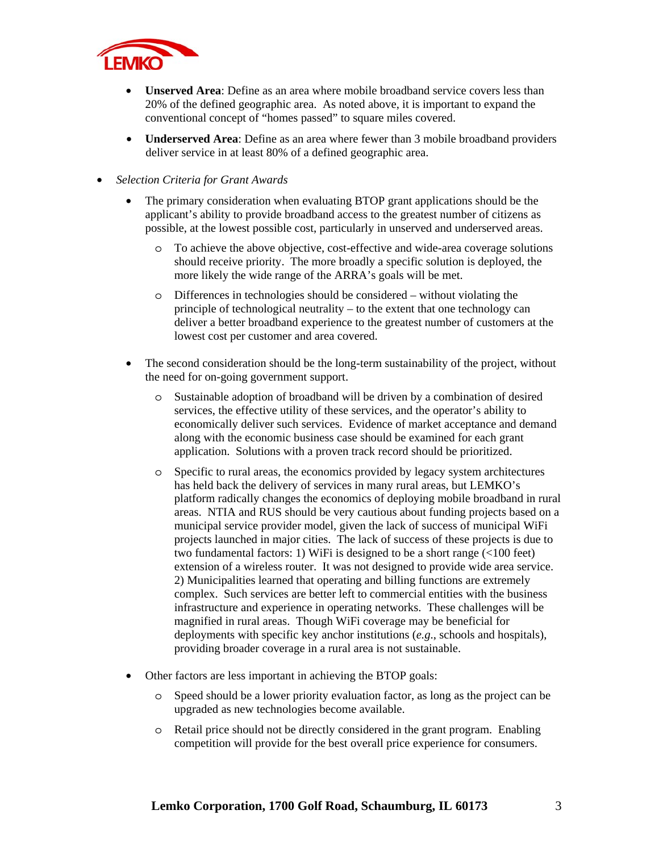

- **Unserved Area**: Define as an area where mobile broadband service covers less than 20% of the defined geographic area. As noted above, it is important to expand the conventional concept of "homes passed" to square miles covered.
- **Underserved Area**: Define as an area where fewer than 3 mobile broadband providers deliver service in at least 80% of a defined geographic area.
- *Selection Criteria for Grant Awards* 
	- The primary consideration when evaluating BTOP grant applications should be the applicant's ability to provide broadband access to the greatest number of citizens as possible, at the lowest possible cost, particularly in unserved and underserved areas.
		- o To achieve the above objective, cost-effective and wide-area coverage solutions should receive priority. The more broadly a specific solution is deployed, the more likely the wide range of the ARRA's goals will be met.
		- o Differences in technologies should be considered without violating the principle of technological neutrality – to the extent that one technology can deliver a better broadband experience to the greatest number of customers at the lowest cost per customer and area covered.
	- The second consideration should be the long-term sustainability of the project, without the need for on-going government support.
		- o Sustainable adoption of broadband will be driven by a combination of desired services, the effective utility of these services, and the operator's ability to economically deliver such services. Evidence of market acceptance and demand along with the economic business case should be examined for each grant application. Solutions with a proven track record should be prioritized.
		- o Specific to rural areas, the economics provided by legacy system architectures has held back the delivery of services in many rural areas, but LEMKO's platform radically changes the economics of deploying mobile broadband in rural areas. NTIA and RUS should be very cautious about funding projects based on a municipal service provider model, given the lack of success of municipal WiFi projects launched in major cities. The lack of success of these projects is due to two fundamental factors: 1) WiFi is designed to be a short range (<100 feet) extension of a wireless router. It was not designed to provide wide area service. 2) Municipalities learned that operating and billing functions are extremely complex. Such services are better left to commercial entities with the business infrastructure and experience in operating networks. These challenges will be magnified in rural areas. Though WiFi coverage may be beneficial for deployments with specific key anchor institutions (*e.g*., schools and hospitals), providing broader coverage in a rural area is not sustainable.
	- Other factors are less important in achieving the BTOP goals:
		- Speed should be a lower priority evaluation factor, as long as the project can be upgraded as new technologies become available.
		- o Retail price should not be directly considered in the grant program. Enabling competition will provide for the best overall price experience for consumers.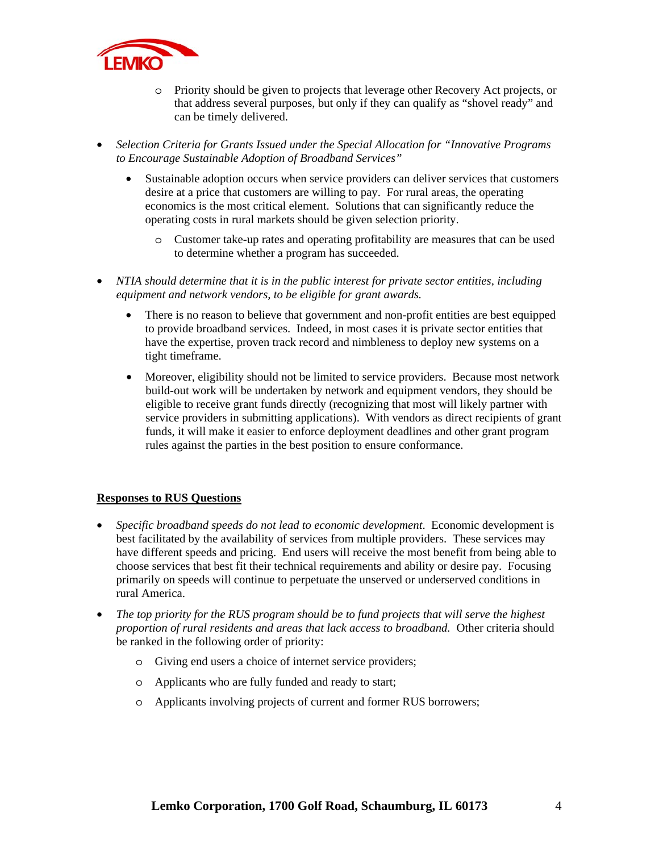

- o Priority should be given to projects that leverage other Recovery Act projects, or that address several purposes, but only if they can qualify as "shovel ready" and can be timely delivered.
- *Selection Criteria for Grants Issued under the Special Allocation for "Innovative Programs to Encourage Sustainable Adoption of Broadband Services"* 
	- Sustainable adoption occurs when service providers can deliver services that customers desire at a price that customers are willing to pay. For rural areas, the operating economics is the most critical element. Solutions that can significantly reduce the operating costs in rural markets should be given selection priority.
		- o Customer take-up rates and operating profitability are measures that can be used to determine whether a program has succeeded.
- *NTIA should determine that it is in the public interest for private sector entities, including equipment and network vendors, to be eligible for grant awards.*
	- There is no reason to believe that government and non-profit entities are best equipped to provide broadband services. Indeed, in most cases it is private sector entities that have the expertise, proven track record and nimbleness to deploy new systems on a tight timeframe.
	- Moreover, eligibility should not be limited to service providers. Because most network build-out work will be undertaken by network and equipment vendors, they should be eligible to receive grant funds directly (recognizing that most will likely partner with service providers in submitting applications). With vendors as direct recipients of grant funds, it will make it easier to enforce deployment deadlines and other grant program rules against the parties in the best position to ensure conformance.

### **Responses to RUS Questions**

- *Specific broadband speeds do not lead to economic development*. Economic development is best facilitated by the availability of services from multiple providers. These services may have different speeds and pricing. End users will receive the most benefit from being able to choose services that best fit their technical requirements and ability or desire pay. Focusing primarily on speeds will continue to perpetuate the unserved or underserved conditions in rural America.
- *The top priority for the RUS program should be to fund projects that will serve the highest proportion of rural residents and areas that lack access to broadband.* Other criteria should be ranked in the following order of priority:
	- o Giving end users a choice of internet service providers;
	- o Applicants who are fully funded and ready to start;
	- o Applicants involving projects of current and former RUS borrowers;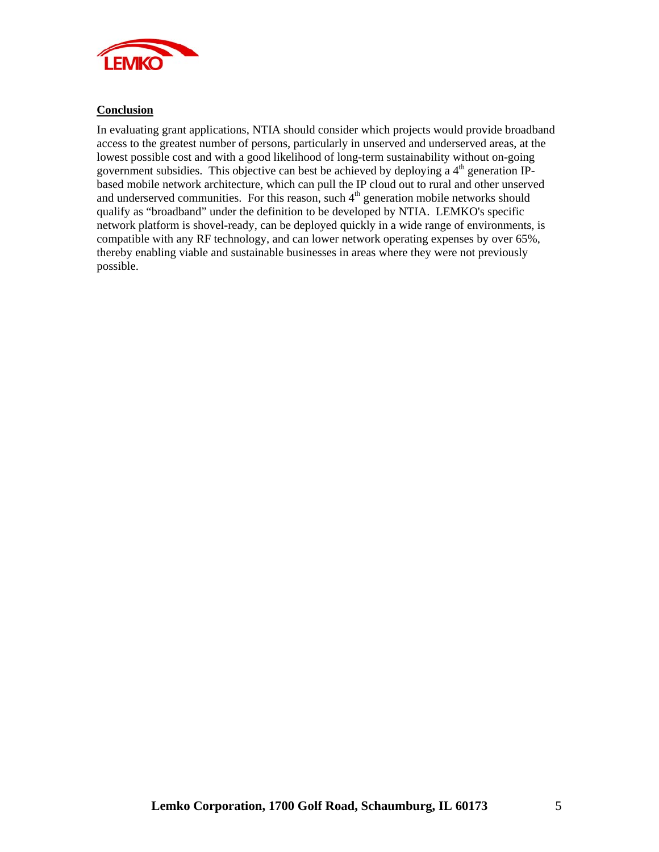

### **Conclusion**

In evaluating grant applications, NTIA should consider which projects would provide broadband access to the greatest number of persons, particularly in unserved and underserved areas, at the lowest possible cost and with a good likelihood of long-term sustainability without on-going government subsidies. This objective can best be achieved by deploying a  $4<sup>th</sup>$  generation IPbased mobile network architecture, which can pull the IP cloud out to rural and other unserved and underserved communities. For this reason, such  $4<sup>th</sup>$  generation mobile networks should qualify as "broadband" under the definition to be developed by NTIA. LEMKO's specific network platform is shovel-ready, can be deployed quickly in a wide range of environments, is compatible with any RF technology, and can lower network operating expenses by over 65%, thereby enabling viable and sustainable businesses in areas where they were not previously possible.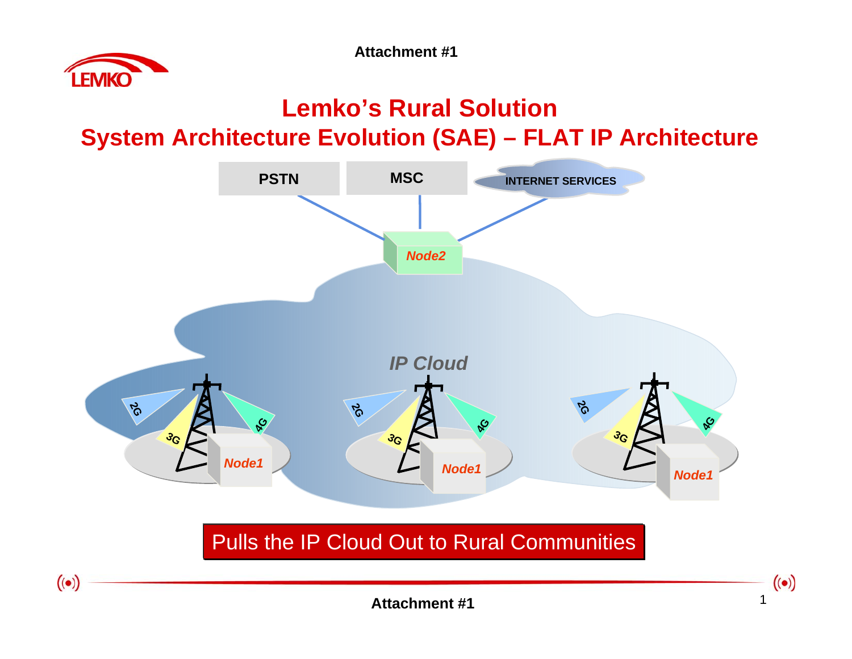**Attachment #1**



## **Lemko's Rural Solution System Architecture Evolution (SAE) – FLAT IP Architecture**



**Attachment #1**1 and  $\overline{1}$  and  $\overline{1}$  and  $\overline{1}$  and  $\overline{1}$  and  $\overline{1}$  and  $\overline{1}$  and  $\overline{1}$  and  $\overline{1}$  and  $\overline{1}$  and  $\overline{1}$  and  $\overline{1}$  and  $\overline{1}$  and  $\overline{1}$  and  $\overline{1}$  and  $\overline{1}$  and  $\overline{1}$  and  $\overline{1}$ 

 $\big( (\bullet ) \big)$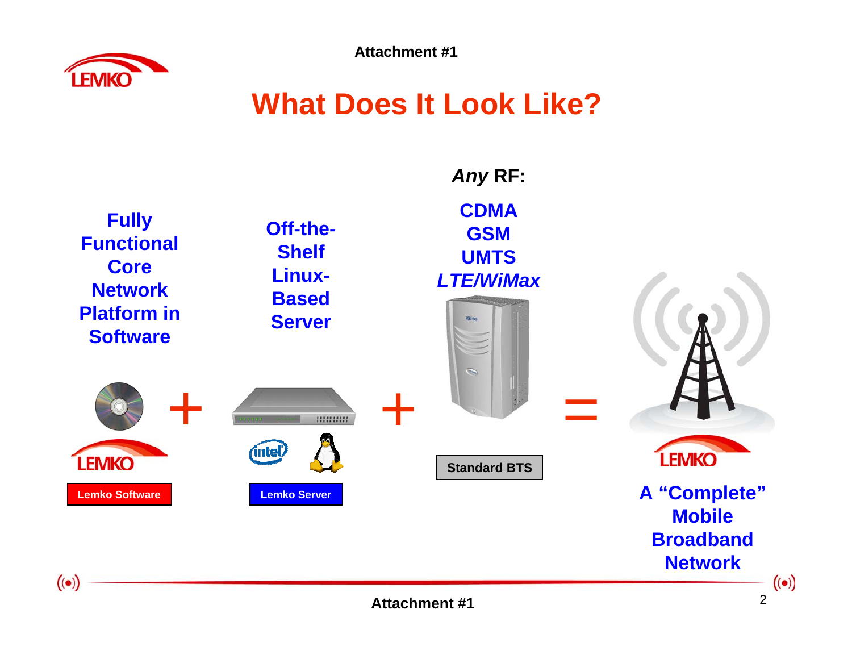

**Attachment #1**

# **What Does It Look Like?**